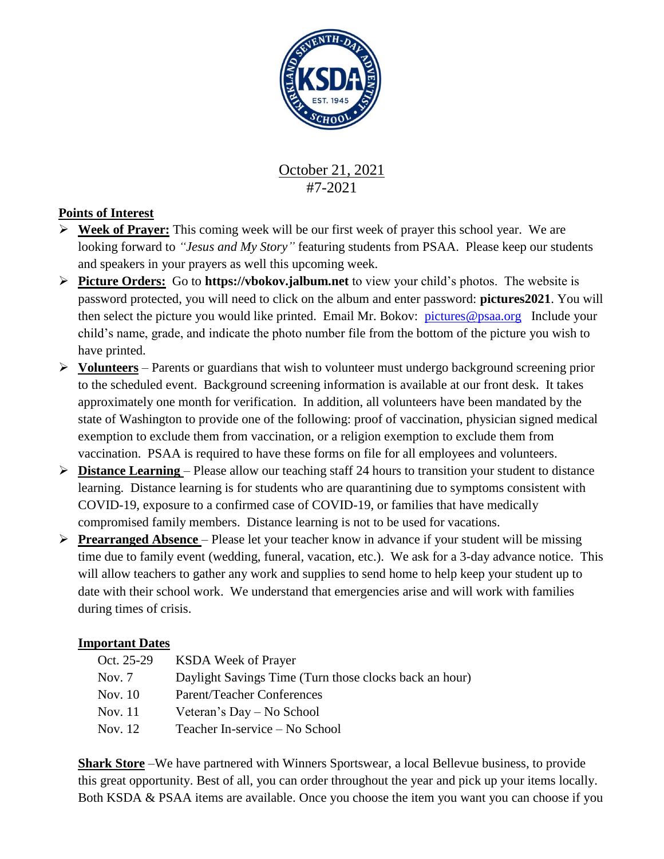

October 21, 2021 #7-2021

## **Points of Interest**

- **Week of Prayer:** This coming week will be our first week of prayer this school year. We are looking forward to *"Jesus and My Story"* featuring students from PSAA. Please keep our students and speakers in your prayers as well this upcoming week.
- **Picture Orders:** Go to **https://vbokov.jalbum.net** to view your child's photos. The website is password protected, you will need to click on the album and enter password: **pictures2021**. You will then select the picture you would like printed. Email Mr. Bokov: [pictures@psaa.org](mailto:vbokov@psaa.org) Include your child's name, grade, and indicate the photo number file from the bottom of the picture you wish to have printed.
- **Volunteers** Parents or guardians that wish to volunteer must undergo background screening prior to the scheduled event. Background screening information is available at our front desk. It takes approximately one month for verification. In addition, all volunteers have been mandated by the state of Washington to provide one of the following: proof of vaccination, physician signed medical exemption to exclude them from vaccination, or a religion exemption to exclude them from vaccination. PSAA is required to have these forms on file for all employees and volunteers.
- **Distance Learning**  Please allow our teaching staff 24 hours to transition your student to distance learning. Distance learning is for students who are quarantining due to symptoms consistent with COVID-19, exposure to a confirmed case of COVID-19, or families that have medically compromised family members. Distance learning is not to be used for vacations.
- **Prearranged Absence**  Please let your teacher know in advance if your student will be missing time due to family event (wedding, funeral, vacation, etc.). We ask for a 3-day advance notice. This will allow teachers to gather any work and supplies to send home to help keep your student up to date with their school work. We understand that emergencies arise and will work with families during times of crisis.

## **Important Dates**

Oct. 25-29 KSDA Week of Prayer Nov. 7 Daylight Savings Time (Turn those clocks back an hour) Nov. 10 Parent/Teacher Conferences Nov. 11 Veteran's Day – No School Nov. 12 Teacher In-service – No School

**Shark Store** –We have partnered with Winners Sportswear, a local Bellevue business, to provide this great opportunity. Best of all, you can order throughout the year and pick up your items locally. Both KSDA & PSAA items are available. Once you choose the item you want you can choose if you